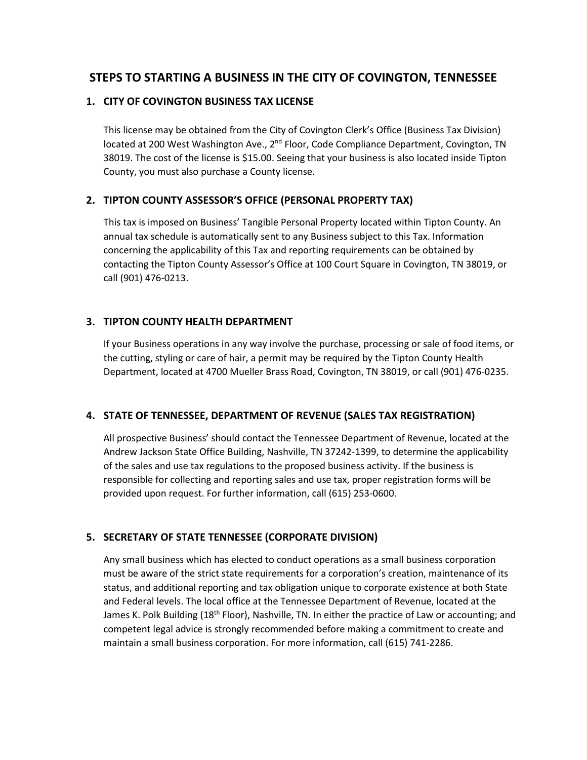# **STEPS TO STARTING A BUSINESS IN THE CITY OF COVINGTON, TENNESSEE**

#### **1. CITY OF COVINGTON BUSINESS TAX LICENSE**

This license may be obtained from the City of Covington Clerk's Office (Business Tax Division) located at 200 West Washington Ave.,  $2^{nd}$  Floor, Code Compliance Department, Covington, TN 38019. The cost of the license is \$15.00. Seeing that your business is also located inside Tipton County, you must also purchase a County license.

## **2. TIPTON COUNTY ASSESSOR'S OFFICE (PERSONAL PROPERTY TAX)**

This tax is imposed on Business' Tangible Personal Property located within Tipton County. An annual tax schedule is automatically sent to any Business subject to this Tax. Information concerning the applicability of this Tax and reporting requirements can be obtained by contacting the Tipton County Assessor's Office at 100 Court Square in Covington, TN 38019, or call (901) 476-0213.

## **3. TIPTON COUNTY HEALTH DEPARTMENT**

If your Business operations in any way involve the purchase, processing or sale of food items, or the cutting, styling or care of hair, a permit may be required by the Tipton County Health Department, located at 4700 Mueller Brass Road, Covington, TN 38019, or call (901) 476-0235.

## **4. STATE OF TENNESSEE, DEPARTMENT OF REVENUE (SALES TAX REGISTRATION)**

All prospective Business' should contact the Tennessee Department of Revenue, located at the Andrew Jackson State Office Building, Nashville, TN 37242-1399, to determine the applicability of the sales and use tax regulations to the proposed business activity. If the business is responsible for collecting and reporting sales and use tax, proper registration forms will be provided upon request. For further information, call (615) 253-0600.

## **5. SECRETARY OF STATE TENNESSEE (CORPORATE DIVISION)**

Any small business which has elected to conduct operations as a small business corporation must be aware of the strict state requirements for a corporation's creation, maintenance of its status, and additional reporting and tax obligation unique to corporate existence at both State and Federal levels. The local office at the Tennessee Department of Revenue, located at the James K. Polk Building (18<sup>th</sup> Floor), Nashville, TN. In either the practice of Law or accounting; and competent legal advice is strongly recommended before making a commitment to create and maintain a small business corporation. For more information, call (615) 741-2286.